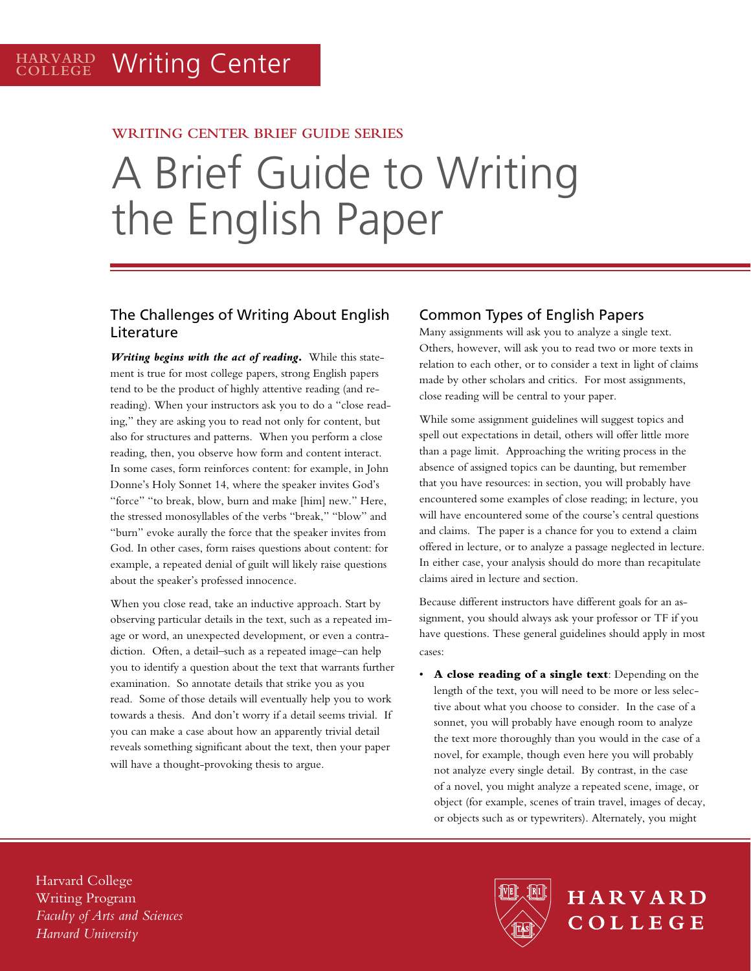## **WRITING CENTER BRIEF GUIDE SERIES**

# A Brief Guide to Writing the English Paper

# The Challenges of Writing About English Literature

*Writing begins with the act of reading***.** While this statement is true for most college papers, strong English papers tend to be the product of highly attentive reading (and rereading). When your instructors ask you to do a "close reading," they are asking you to read not only for content, but also for structures and patterns. When you perform a close reading, then, you observe how form and content interact. In some cases, form reinforces content: for example, in John Donne's Holy Sonnet 14, where the speaker invites God's "force" "to break, blow, burn and make [him] new." Here, the stressed monosyllables of the verbs "break," "blow" and "burn" evoke aurally the force that the speaker invites from God. In other cases, form raises questions about content: for example, a repeated denial of guilt will likely raise questions about the speaker's professed innocence.

When you close read, take an inductive approach. Start by observing particular details in the text, such as a repeated image or word, an unexpected development, or even a contradiction. Often, a detail–such as a repeated image–can help you to identify a question about the text that warrants further examination. So annotate details that strike you as you read. Some of those details will eventually help you to work towards a thesis. And don't worry if a detail seems trivial. If you can make a case about how an apparently trivial detail reveals something significant about the text, then your paper will have a thought-provoking thesis to argue.

## Common Types of English Papers

Many assignments will ask you to analyze a single text. Others, however, will ask you to read two or more texts in relation to each other, or to consider a text in light of claims made by other scholars and critics. For most assignments, close reading will be central to your paper.

While some assignment guidelines will suggest topics and spell out expectations in detail, others will offer little more than a page limit. Approaching the writing process in the absence of assigned topics can be daunting, but remember that you have resources: in section, you will probably have encountered some examples of close reading; in lecture, you will have encountered some of the course's central questions and claims. The paper is a chance for you to extend a claim offered in lecture, or to analyze a passage neglected in lecture. In either case, your analysis should do more than recapitulate claims aired in lecture and section.

Because different instructors have different goals for an assignment, you should always ask your professor or TF if you have questions. These general guidelines should apply in most cases:

A close reading of a single text: Depending on the length of the text, you will need to be more or less selective about what you choose to consider. In the case of a sonnet, you will probably have enough room to analyze the text more thoroughly than you would in the case of a novel, for example, though even here you will probably not analyze every single detail. By contrast, in the case of a novel, you might analyze a repeated scene, image, or object (for example, scenes of train travel, images of decay, or objects such as or typewriters). Alternately, you might

HARVARD

COLLEGE

Harvard College Writing Program *Faculty of Arts and Sciences Harvard University*

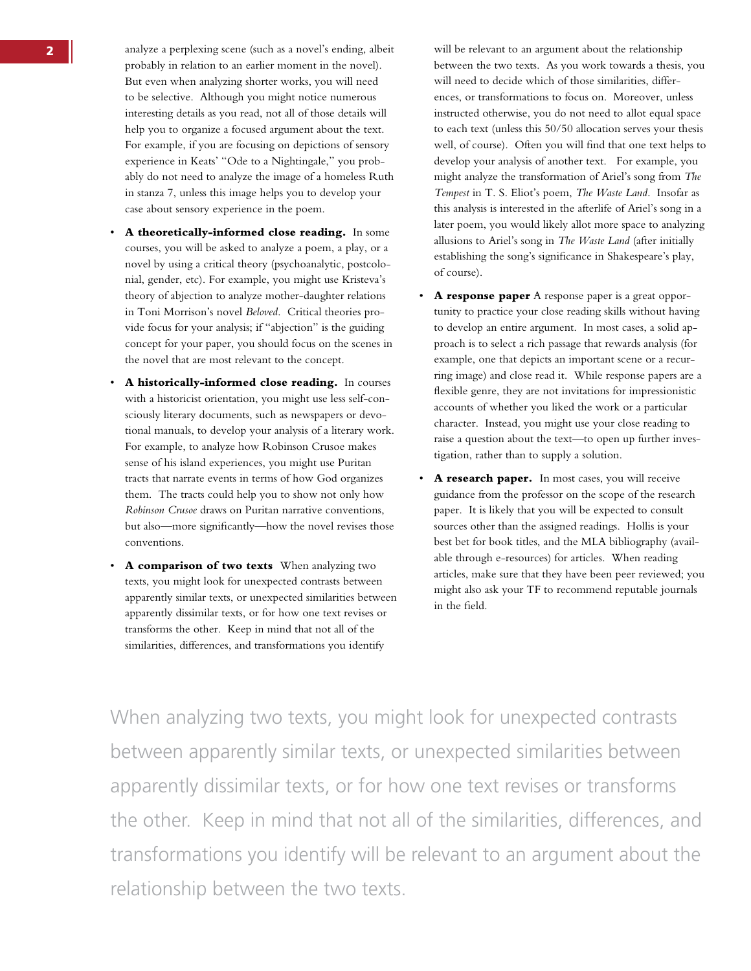- 2 analyze a perplexing scene (such as a novel's ending, albeit probably in relation to an earlier moment in the novel). But even when analyzing shorter works, you will need to be selective. Although you might notice numerous interesting details as you read, not all of those details will help you to organize a focused argument about the text. For example, if you are focusing on depictions of sensory experience in Keats' "Ode to a Nightingale," you probably do not need to analyze the image of a homeless Ruth in stanza 7, unless this image helps you to develop your case about sensory experience in the poem.
	- A theoretically-informed close reading. In some courses, you will be asked to analyze a poem, a play, or a novel by using a critical theory (psychoanalytic, postcolonial, gender, etc). For example, you might use Kristeva's theory of abjection to analyze mother-daughter relations in Toni Morrison's novel *Beloved*. Critical theories provide focus for your analysis; if "abjection" is the guiding concept for your paper, you should focus on the scenes in the novel that are most relevant to the concept.
	- • **A historically-informed close reading.** In courses with a historicist orientation, you might use less self-consciously literary documents, such as newspapers or devotional manuals, to develop your analysis of a literary work. For example, to analyze how Robinson Crusoe makes sense of his island experiences, you might use Puritan tracts that narrate events in terms of how God organizes them. The tracts could help you to show not only how *Robinson Crusoe* draws on Puritan narrative conventions, but also—more significantly—how the novel revises those conventions.
	- A comparison of two texts When analyzing two texts, you might look for unexpected contrasts between apparently similar texts, or unexpected similarities between apparently dissimilar texts, or for how one text revises or transforms the other. Keep in mind that not all of the similarities, differences, and transformations you identify

will be relevant to an argument about the relationship between the two texts. As you work towards a thesis, you will need to decide which of those similarities, differences, or transformations to focus on. Moreover, unless instructed otherwise, you do not need to allot equal space to each text (unless this 50/50 allocation serves your thesis well, of course). Often you will find that one text helps to develop your analysis of another text. For example, you might analyze the transformation of Ariel's song from *The Tempest* in T. S. Eliot's poem, *The Waste Land*. Insofar as this analysis is interested in the afterlife of Ariel's song in a later poem, you would likely allot more space to analyzing allusions to Ariel's song in *The Waste Land* (after initially establishing the song's significance in Shakespeare's play, of course).

- • **A response paper** A response paper is a great opportunity to practice your close reading skills without having to develop an entire argument. In most cases, a solid approach is to select a rich passage that rewards analysis (for example, one that depicts an important scene or a recurring image) and close read it. While response papers are a flexible genre, they are not invitations for impressionistic accounts of whether you liked the work or a particular character. Instead, you might use your close reading to raise a question about the text—to open up further investigation, rather than to supply a solution.
- A research paper. In most cases, you will receive guidance from the professor on the scope of the research paper. It is likely that you will be expected to consult sources other than the assigned readings. Hollis is your best bet for book titles, and the MLA bibliography (available through e-resources) for articles. When reading articles, make sure that they have been peer reviewed; you might also ask your TF to recommend reputable journals in the field.

When analyzing two texts, you might look for unexpected contrasts between apparently similar texts, or unexpected similarities between apparently dissimilar texts, or for how one text revises or transforms the other. Keep in mind that not all of the similarities, differences, and transformations you identify will be relevant to an argument about the relationship between the two texts.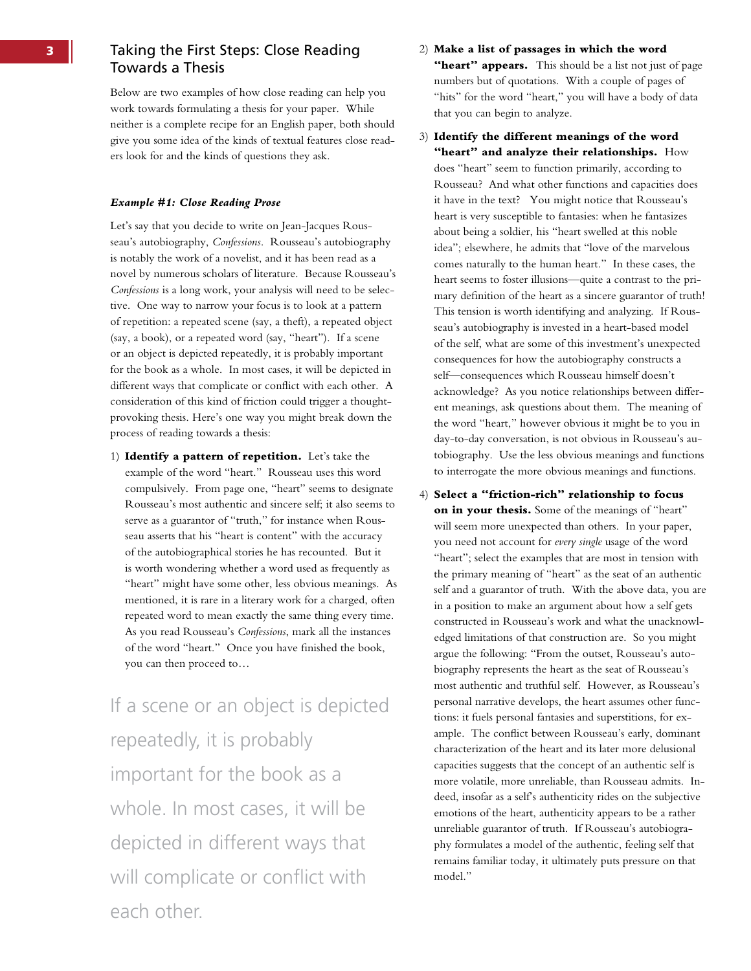# **3** Taking the First Steps: Close Reading Towards a Thesis

Below are two examples of how close reading can help you work towards formulating a thesis for your paper. While neither is a complete recipe for an English paper, both should give you some idea of the kinds of textual features close readers look for and the kinds of questions they ask.

#### *Example #1: Close Reading Prose*

Let's say that you decide to write on Jean-Jacques Rousseau's autobiography, *Confessions*. Rousseau's autobiography is notably the work of a novelist, and it has been read as a novel by numerous scholars of literature. Because Rousseau's *Confessions* is a long work, your analysis will need to be selective. One way to narrow your focus is to look at a pattern of repetition: a repeated scene (say, a theft), a repeated object (say, a book), or a repeated word (say, "heart"). If a scene or an object is depicted repeatedly, it is probably important for the book as a whole. In most cases, it will be depicted in different ways that complicate or conflict with each other. A consideration of this kind of friction could trigger a thoughtprovoking thesis. Here's one way you might break down the process of reading towards a thesis:

1) **Identify a pattern of repetition.** Let's take the example of the word "heart." Rousseau uses this word compulsively. From page one, "heart" seems to designate Rousseau's most authentic and sincere self; it also seems to serve as a guarantor of "truth," for instance when Rousseau asserts that his "heart is content" with the accuracy of the autobiographical stories he has recounted. But it is worth wondering whether a word used as frequently as "heart" might have some other, less obvious meanings. As mentioned, it is rare in a literary work for a charged, often repeated word to mean exactly the same thing every time. As you read Rousseau's *Confessions*, mark all the instances of the word "heart." Once you have finished the book, you can then proceed to…

If a scene or an object is depicted repeatedly, it is probably important for the book as a whole. In most cases, it will be depicted in different ways that will complicate or conflict with each other.

## 2) **Make a list of passages in which the word**  "heart" appears. This should be a list not just of page numbers but of quotations. With a couple of pages of "hits" for the word "heart," you will have a body of data that you can begin to analyze.

3) **Identify the different meanings of the word "heart" and analyze their relationships.** How does "heart" seem to function primarily, according to Rousseau? And what other functions and capacities does it have in the text? You might notice that Rousseau's heart is very susceptible to fantasies: when he fantasizes about being a soldier, his "heart swelled at this noble idea"; elsewhere, he admits that "love of the marvelous comes naturally to the human heart." In these cases, the heart seems to foster illusions—quite a contrast to the primary definition of the heart as a sincere guarantor of truth! This tension is worth identifying and analyzing. If Rousseau's autobiography is invested in a heart-based model of the self, what are some of this investment's unexpected consequences for how the autobiography constructs a self—consequences which Rousseau himself doesn't acknowledge? As you notice relationships between different meanings, ask questions about them. The meaning of the word "heart," however obvious it might be to you in day-to-day conversation, is not obvious in Rousseau's autobiography. Use the less obvious meanings and functions to interrogate the more obvious meanings and functions.

4) **Select a "friction-rich" relationship to focus on in your thesis.** Some of the meanings of "heart" will seem more unexpected than others. In your paper, you need not account for *every single* usage of the word "heart"; select the examples that are most in tension with the primary meaning of "heart" as the seat of an authentic self and a guarantor of truth. With the above data, you are in a position to make an argument about how a self gets constructed in Rousseau's work and what the unacknowledged limitations of that construction are. So you might argue the following: "From the outset, Rousseau's autobiography represents the heart as the seat of Rousseau's most authentic and truthful self. However, as Rousseau's personal narrative develops, the heart assumes other functions: it fuels personal fantasies and superstitions, for example. The conflict between Rousseau's early, dominant characterization of the heart and its later more delusional capacities suggests that the concept of an authentic self is more volatile, more unreliable, than Rousseau admits. Indeed, insofar as a self's authenticity rides on the subjective emotions of the heart, authenticity appears to be a rather unreliable guarantor of truth. If Rousseau's autobiography formulates a model of the authentic, feeling self that remains familiar today, it ultimately puts pressure on that model."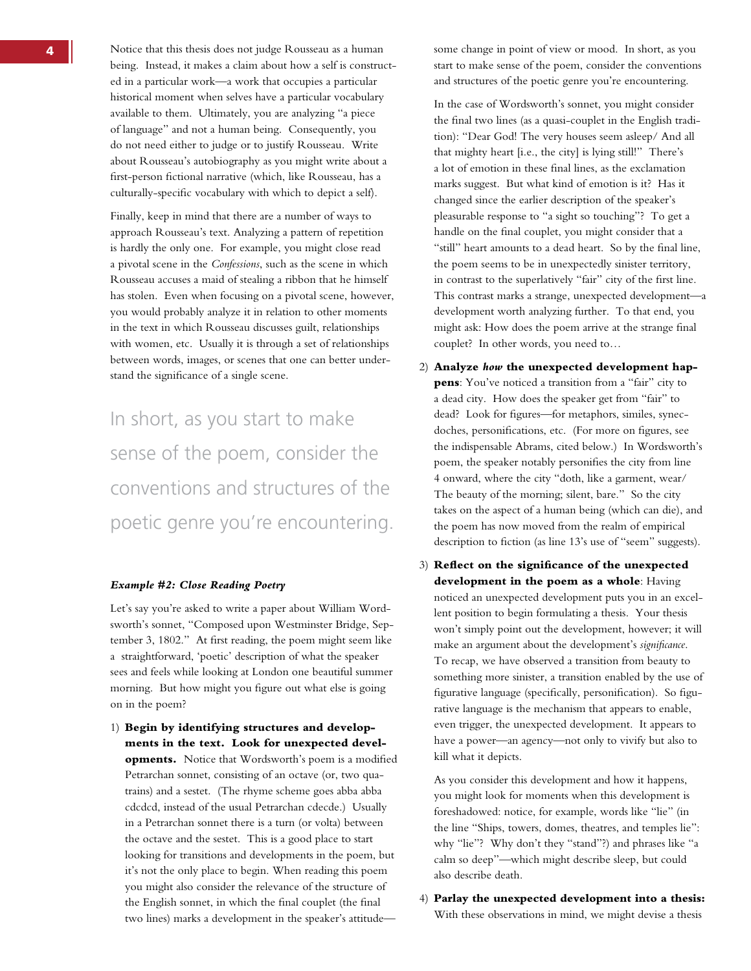Notice that this thesis does not judge Rousseau as a human being. Instead, it makes a claim about how a self is constructed in a particular work—a work that occupies a particular historical moment when selves have a particular vocabulary available to them. Ultimately, you are analyzing "a piece of language" and not a human being. Consequently, you do not need either to judge or to justify Rousseau. Write about Rousseau's autobiography as you might write about a first-person fictional narrative (which, like Rousseau, has a culturally-specific vocabulary with which to depict a self).

Finally, keep in mind that there are a number of ways to approach Rousseau's text. Analyzing a pattern of repetition is hardly the only one. For example, you might close read a pivotal scene in the *Confessions*, such as the scene in which Rousseau accuses a maid of stealing a ribbon that he himself has stolen. Even when focusing on a pivotal scene, however, you would probably analyze it in relation to other moments in the text in which Rousseau discusses guilt, relationships with women, etc. Usually it is through a set of relationships between words, images, or scenes that one can better understand the significance of a single scene.

In short, as you start to make sense of the poem, consider the conventions and structures of the poetic genre you're encountering.

#### *Example #2: Close Reading Poetry*

Let's say you're asked to write a paper about William Wordsworth's sonnet, "Composed upon Westminster Bridge, September 3, 1802." At first reading, the poem might seem like a straightforward, 'poetic' description of what the speaker sees and feels while looking at London one beautiful summer morning. But how might you figure out what else is going on in the poem?

1) **Begin by identifying structures and developments in the text. Look for unexpected developments.** Notice that Wordsworth's poem is a modified Petrarchan sonnet, consisting of an octave (or, two quatrains) and a sestet. (The rhyme scheme goes abba abba cdcdcd, instead of the usual Petrarchan cdecde.) Usually in a Petrarchan sonnet there is a turn (or volta) between the octave and the sestet. This is a good place to start looking for transitions and developments in the poem, but it's not the only place to begin. When reading this poem you might also consider the relevance of the structure of the English sonnet, in which the final couplet (the final two lines) marks a development in the speaker's attitudesome change in point of view or mood. In short, as you start to make sense of the poem, consider the conventions and structures of the poetic genre you're encountering.

In the case of Wordsworth's sonnet, you might consider the final two lines (as a quasi-couplet in the English tradition): "Dear God! The very houses seem asleep/ And all that mighty heart [i.e., the city] is lying still!" There's a lot of emotion in these final lines, as the exclamation marks suggest. But what kind of emotion is it? Has it changed since the earlier description of the speaker's pleasurable response to "a sight so touching"? To get a handle on the final couplet, you might consider that a "still" heart amounts to a dead heart. So by the final line, the poem seems to be in unexpectedly sinister territory, in contrast to the superlatively "fair" city of the first line. This contrast marks a strange, unexpected development—a development worth analyzing further. To that end, you might ask: How does the poem arrive at the strange final couplet? In other words, you need to…

- 2) **Analyze** *how* **the unexpected development happens**: You've noticed a transition from a "fair" city to a dead city. How does the speaker get from "fair" to dead? Look for figures—for metaphors, similes, synecdoches, personifications, etc. (For more on figures, see the indispensable Abrams, cited below.) In Wordsworth's poem, the speaker notably personifies the city from line 4 onward, where the city "doth, like a garment, wear/ The beauty of the morning; silent, bare." So the city takes on the aspect of a human being (which can die), and the poem has now moved from the realm of empirical description to fiction (as line 13's use of "seem" suggests).
- 3) **Reflect on the significance of the unexpected development in the poem as a whole**: Having noticed an unexpected development puts you in an excellent position to begin formulating a thesis. Your thesis won't simply point out the development, however; it will make an argument about the development's *significance*. To recap, we have observed a transition from beauty to something more sinister, a transition enabled by the use of figurative language (specifically, personification). So figurative language is the mechanism that appears to enable, even trigger, the unexpected development. It appears to have a power—an agency—not only to vivify but also to kill what it depicts.

As you consider this development and how it happens, you might look for moments when this development is foreshadowed: notice, for example, words like "lie" (in the line "Ships, towers, domes, theatres, and temples lie": why "lie"? Why don't they "stand"?) and phrases like "a calm so deep"—which might describe sleep, but could also describe death.

4) **Parlay the unexpected development into a thesis:** With these observations in mind, we might devise a thesis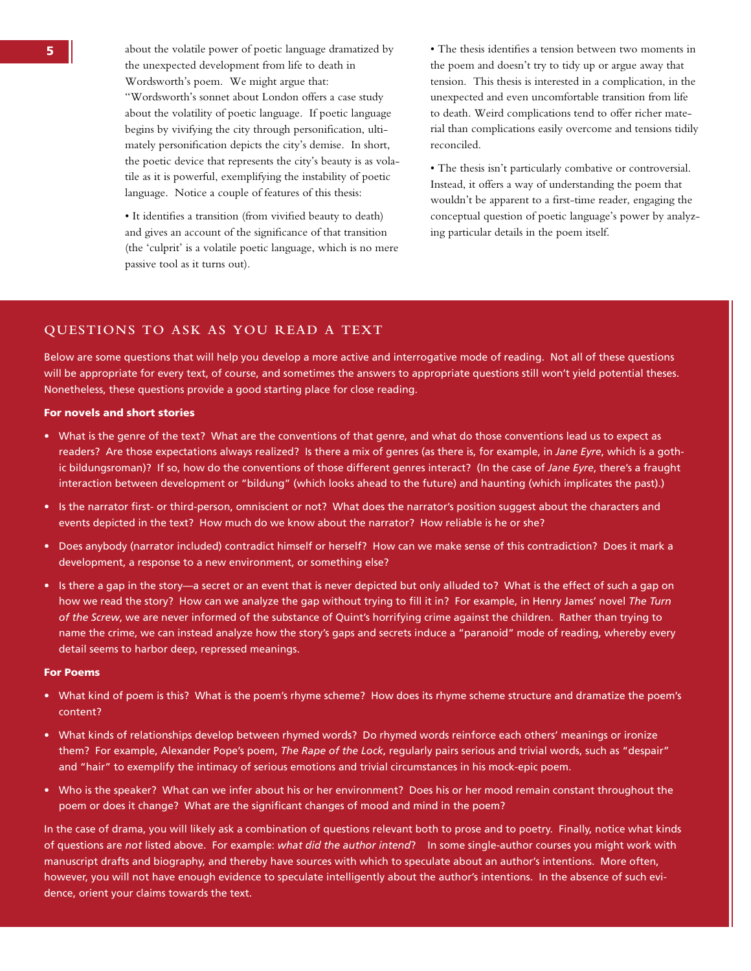about the volatile power of poetic language dramatized by the unexpected development from life to death in Wordsworth's poem. We might argue that: "Wordsworth's sonnet about London offers a case study about the volatility of poetic language. If poetic language begins by vivifying the city through personification, ultimately personification depicts the city's demise. In short, the poetic device that represents the city's beauty is as volatile as it is powerful, exemplifying the instability of poetic language. Notice a couple of features of this thesis:

 • It identifies a transition (from vivified beauty to death) and gives an account of the significance of that transition (the 'culprit' is a volatile poetic language, which is no mere passive tool as it turns out).

 • The thesis identifies a tension between two moments in the poem and doesn't try to tidy up or argue away that tension. This thesis is interested in a complication, in the unexpected and even uncomfortable transition from life to death. Weird complications tend to offer richer material than complications easily overcome and tensions tidily reconciled.

 • The thesis isn't particularly combative or controversial. Instead, it offers a way of understanding the poem that wouldn't be apparent to a first-time reader, engaging the conceptual question of poetic language's power by analyzing particular details in the poem itself.

### **QUESTIONS TO ASK AS YOU READ A TEXT**

Below are some questions that will help you develop a more active and interrogative mode of reading. Not all of these questions will be appropriate for every text, of course, and sometimes the answers to appropriate questions still won't yield potential theses. Nonetheless, these questions provide a good starting place for close reading.

#### For novels and short stories

- • What is the genre of the text? What are the conventions of that genre, and what do those conventions lead us to expect as readers? Are those expectations always realized? Is there a mix of genres (as there is, for example, in *Jane Eyre*, which is a gothic bildungsroman)? If so, how do the conventions of those different genres interact? (In the case of *Jane Eyre*, there's a fraught interaction between development or "bildung" (which looks ahead to the future) and haunting (which implicates the past).)
- • Is the narrator first- or third-person, omniscient or not? What does the narrator's position suggest about the characters and events depicted in the text? How much do we know about the narrator? How reliable is he or she?
- • Does anybody (narrator included) contradict himself or herself? How can we make sense of this contradiction? Does it mark a development, a response to a new environment, or something else?
- Is there a gap in the story—a secret or an event that is never depicted but only alluded to? What is the effect of such a gap on how we read the story? How can we analyze the gap without trying to fill it in? For example, in Henry James' novel *The Turn of the Screw*, we are never informed of the substance of Quint's horrifying crime against the children. Rather than trying to name the crime, we can instead analyze how the story's gaps and secrets induce a "paranoid" mode of reading, whereby every detail seems to harbor deep, repressed meanings.

#### For Poems

- • What kind of poem is this? What is the poem's rhyme scheme? How does its rhyme scheme structure and dramatize the poem's content?
- • What kinds of relationships develop between rhymed words? Do rhymed words reinforce each others' meanings or ironize them? For example, Alexander Pope's poem, *The Rape of the Lock*, regularly pairs serious and trivial words, such as "despair" and "hair" to exemplify the intimacy of serious emotions and trivial circumstances in his mock-epic poem.
- • Who is the speaker? What can we infer about his or her environment? Does his or her mood remain constant throughout the poem or does it change? What are the significant changes of mood and mind in the poem?

In the case of drama, you will likely ask a combination of questions relevant both to prose and to poetry. Finally, notice what kinds of questions are *not* listed above. For example: *what did the author intend*? In some single-author courses you might work with manuscript drafts and biography, and thereby have sources with which to speculate about an author's intentions. More often, however, you will not have enough evidence to speculate intelligently about the author's intentions. In the absence of such evidence, orient your claims towards the text.